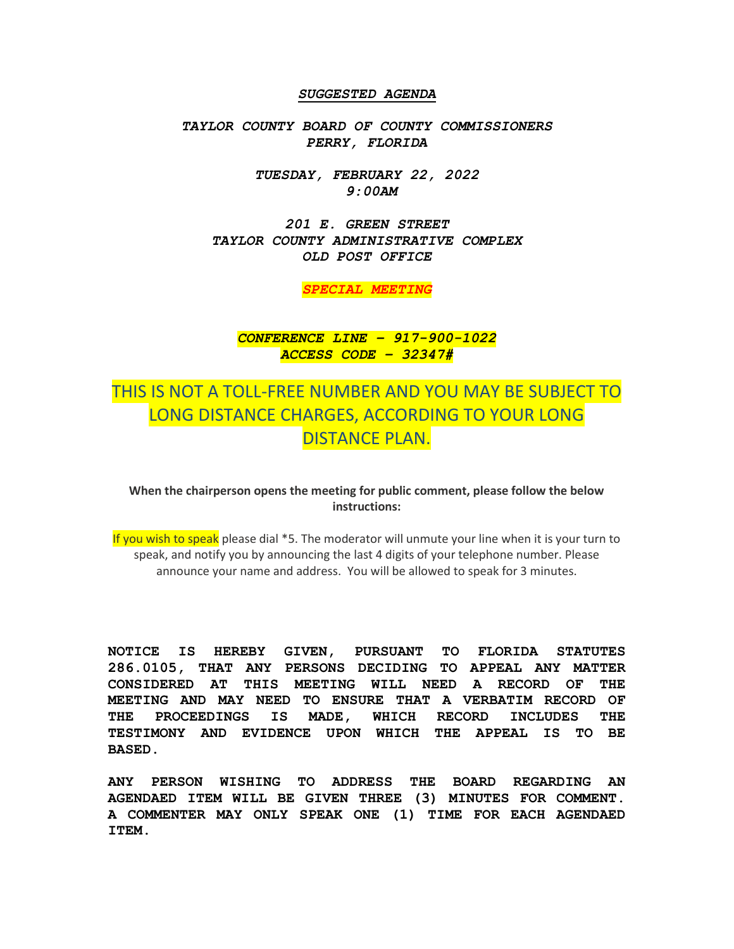#### *SUGGESTED AGENDA*

*TAYLOR COUNTY BOARD OF COUNTY COMMISSIONERS PERRY, FLORIDA*

> *TUESDAY, FEBRUARY 22, 2022 9:00AM*

*201 E. GREEN STREET TAYLOR COUNTY ADMINISTRATIVE COMPLEX OLD POST OFFICE* 

*SPECIAL MEETING*

*CONFERENCE LINE – 917-900-1022 ACCESS CODE – 32347#*

# THIS IS NOT A TOLL-FREE NUMBER AND YOU MAY BE SUBJECT TO LONG DISTANCE CHARGES, ACCORDING TO YOUR LONG DISTANCE PLAN.

## **When the chairperson opens the meeting for public comment, please follow the below instructions:**

If you wish to speak please dial \*5. The moderator will unmute your line when it is your turn to speak, and notify you by announcing the last 4 digits of your telephone number. Please announce your name and address. You will be allowed to speak for 3 minutes.

**NOTICE IS HEREBY GIVEN, PURSUANT TO FLORIDA STATUTES 286.0105, THAT ANY PERSONS DECIDING TO APPEAL ANY MATTER CONSIDERED AT THIS MEETING WILL NEED A RECORD OF THE MEETING AND MAY NEED TO ENSURE THAT A VERBATIM RECORD OF THE PROCEEDINGS IS MADE, WHICH RECORD INCLUDES THE TESTIMONY AND EVIDENCE UPON WHICH THE APPEAL IS TO BE BASED.**

**ANY PERSON WISHING TO ADDRESS THE BOARD REGARDING AN AGENDAED ITEM WILL BE GIVEN THREE (3) MINUTES FOR COMMENT. A COMMENTER MAY ONLY SPEAK ONE (1) TIME FOR EACH AGENDAED ITEM.**